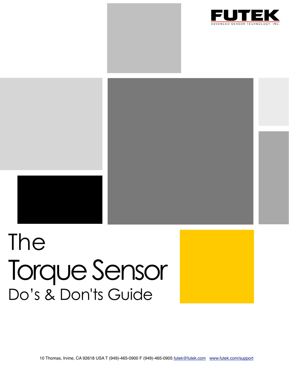



# The Torque Sensor Do's & Don'ts Guide

10 Thomas, Irvine, CA 92618 USA T (949)-465-0900 F (949)-465-0905 [futek@futek.com](mailto:futek@futek.com) [www.futek.com/support](http://www.futek.com/support)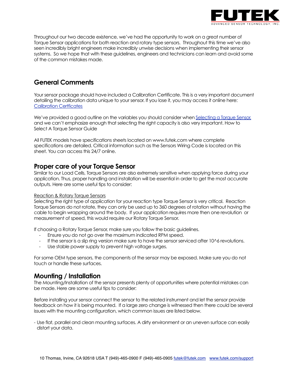

Throughout our two decade existence, we've had the opportunity to work on a great number of Torque Sensor applications for both reaction and rotary type sensors. Throughout this time we've also seen incredibly bright engineers make incredibly unwise decisions when implementing their sensor systems. So we hope that with these guidelines, engineers and technicians can learn and avoid some of the common mistakes made.

# **General Comments**

Your sensor package should have included a Calibration Certificate. This is a very important document detailing the calibration data unique to your sensor. If you lose it, you may access it online here: [Calibration Certficates](http://www.futek.com/cert.aspx)

We've provided a good outline on the variables you should consider when [Selecting a Torque Sensor,](http://www.futek.com/torque_sensor_selection.aspx) and we can't emphasize enough that selecting the right capacity is also very important. How to Select A Torque Sensor Guide

All FUTEK models have specifications sheets located on [www.futek.com](http://www.futek.com) where complete specifications are detailed. Critical information such as the Sensors Wiring Code is located on this sheet. You can access this 24/7 online.

### **Proper care of your Torque Sensor**

Similar to our Load Cells, Torque Sensors are also extremely sensitive when applying force during your application. Thus, proper handling and installation will be essential in order to get the most accurate outputs. Here are some useful tips to consider:

#### Reaction & Rotary Torque Sensors

Selecting the right type of application for your reaction type Torque Sensor is very critical. Reaction Torque Sensors do not rotate, they can only be used up to 360 degrees of rotation without having the cable to begin wrapping around the body. If your application requires more then one revolution or measurement of speed, this would require our Rotary Torque Sensor.

If choosing a Rotary Torque Sensor, make sure you follow the basic guidelines.

- Ensure you do not go over the maximum indicated RPM speed.
- If the sensor is a slip ring version make sure to have the sensor serviced after 10^6 revolutions.
- Use stable power supply to prevent high voltage surges.

For some OEM type sensors, the components of the sensor may be exposed. Make sure you do not touch or handle these surfaces.

# **Mounting / Installation**

The Mounting/Installation of the sensor presents plenty of opportunities where potential mistakes can be made. Here are some useful tips to consider:

Before installing your sensor connect the sensor to the related instrument and let the sensor provide feedback on how it is being mounted. If a large zero change is witnessed then there could be several issues with the mounting configuration, which common issues are listed below.

- Use flat, parallel and clean mounting surfaces. A dirty environment or an uneven surface can easily distort your data.